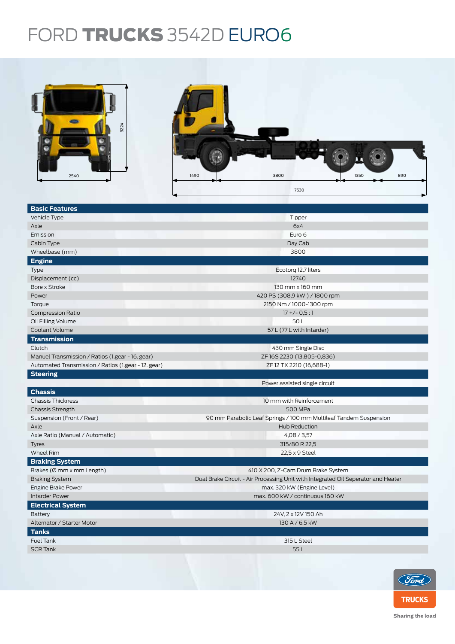## FORD TRUCKS 3542D EURO6



| <u>Basic Features</u>                               |                                                                                   |  |  |  |
|-----------------------------------------------------|-----------------------------------------------------------------------------------|--|--|--|
| Vehicle Type                                        | Tipper                                                                            |  |  |  |
| Axle                                                | 6x4                                                                               |  |  |  |
| Emission                                            | Euro 6                                                                            |  |  |  |
| Cabin Type                                          | Day Cab                                                                           |  |  |  |
| Wheelbase (mm)                                      | 3800                                                                              |  |  |  |
| <b>Engine</b>                                       |                                                                                   |  |  |  |
| <b>Type</b>                                         | Ecotorg 12,7 liters                                                               |  |  |  |
| Displacement (cc)                                   | 12740                                                                             |  |  |  |
| Bore x Stroke                                       | 130 mm x 160 mm                                                                   |  |  |  |
| Power                                               | 420 PS (308,9 kW) / 1800 rpm                                                      |  |  |  |
| Torque                                              | 2150 Nm / 1000-1300 rpm                                                           |  |  |  |
| <b>Compression Ratio</b>                            | $17 + (-0.5:1)$                                                                   |  |  |  |
| Oil Filling Volume                                  | 50L                                                                               |  |  |  |
| Coolant Volume                                      | 57 L (77 L with Intarder)                                                         |  |  |  |
| <b>Transmission</b>                                 |                                                                                   |  |  |  |
| Clutch                                              | 430 mm Single Disc                                                                |  |  |  |
| Manuel Transmission / Ratios (1.gear - 16. gear)    | ZF16S2230 (13,805-0,836)                                                          |  |  |  |
| Automated Transmission / Ratios (1.gear - 12. gear) | ZF 12 TX 2210 (16,688-1)                                                          |  |  |  |
| <b>Steering</b>                                     |                                                                                   |  |  |  |
|                                                     | Power assisted single circuit                                                     |  |  |  |
| <b>Chassis</b>                                      |                                                                                   |  |  |  |
| <b>Chassis Thickness</b>                            | 10 mm with Reinforcement                                                          |  |  |  |
| <b>Chassis Strength</b>                             | 500 MPa                                                                           |  |  |  |
| Suspension (Front / Rear)                           | 90 mm Parabolic Leaf Springs / 100 mm Multileaf Tandem Suspension                 |  |  |  |
| Axle                                                | Hub Reduction                                                                     |  |  |  |
| Axle Ratio (Manual / Automatic)                     | 4,08/3,57                                                                         |  |  |  |
| <b>Tyres</b>                                        | 315/80 R 22,5                                                                     |  |  |  |
| Wheel Rim                                           | 22,5 x 9 Steel                                                                    |  |  |  |
| <b>Braking System</b>                               |                                                                                   |  |  |  |
| Brakes ( $\emptyset$ mm x mm Length)                | 410 X 200, Z-Cam Drum Brake System                                                |  |  |  |
| <b>Braking System</b>                               | Dual Brake Circuit - Air Processing Unit with Integrated Oil Seperator and Heater |  |  |  |
| Engine Brake Power                                  | max. 320 kW (Engine Level)                                                        |  |  |  |
| <b>Intarder Power</b>                               | max. 600 kW / continuous 160 kW                                                   |  |  |  |
| <b>Electrical System</b>                            |                                                                                   |  |  |  |
| Battery                                             | 24V, 2 x 12V 150 Ah                                                               |  |  |  |
| Alternator / Starter Motor                          | 130 A / 6,5 kW                                                                    |  |  |  |
| <b>Tanks</b>                                        |                                                                                   |  |  |  |
| <b>Fuel Tank</b>                                    | 315 L Steel                                                                       |  |  |  |
| <b>SCR Tank</b>                                     | 55L                                                                               |  |  |  |
|                                                     |                                                                                   |  |  |  |
|                                                     |                                                                                   |  |  |  |



Sharing the load